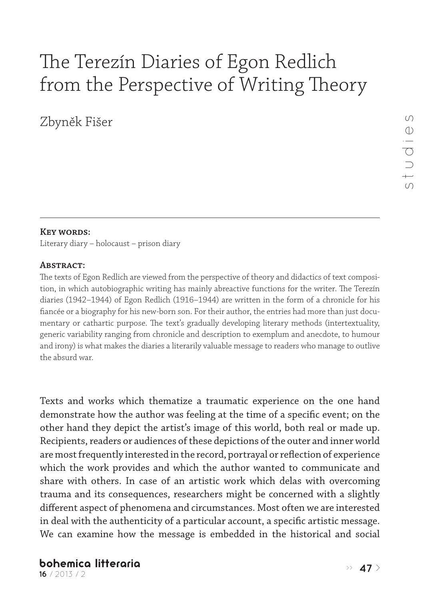# The Terezín Diaries of Egon Redlich from the Perspective of Writing Theory

Zbyněk Fišer

# **Key words:**

Literary diary – holocaust – prison diary

#### **Abstract:**

The texts of Egon Redlich are viewed from the perspective of theory and didactics of text composition, in which autobiographic writing has mainly abreactive functions for the writer. The Terezín diaries (1942–1944) of Egon Redlich (1916–1944) are written in the form of a chronicle for his fiancée or a biography for his new-born son. For their author, the entries had more than just documentary or cathartic purpose. The text's gradually developing literary methods (intertextuality, generic variability ranging from chronicle and description to exemplum and anecdote, to humour and irony) is what makes the diaries a literarily valuable message to readers who manage to outlive the absurd war.

Texts and works which thematize a traumatic experience on the one hand demonstrate how the author was feeling at the time of a specific event; on the other hand they depict the artist's image of this world, both real or made up. Recipients, readers or audiences of these depictions of the outer and inner world are most frequently interested in the record, portrayal or reflection of experience which the work provides and which the author wanted to communicate and share with others. In case of an artistic work which delas with overcoming trauma and its consequences, researchers might be concerned with a slightly different aspect of phenomena and circumstances. Most often we are interested in deal with the authenticity of a particular account, a specific artistic message. We can examine how the message is embedded in the historical and social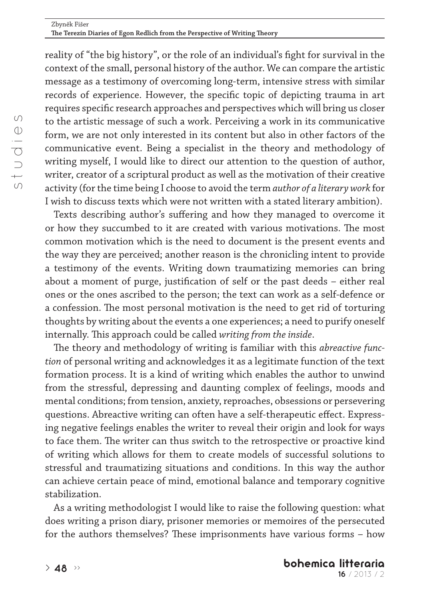reality of "the big history", or the role of an individual's fight for survival in the context of the small, personal history of the author. We can compare the artistic message as a testimony of overcoming long-term, intensive stress with similar records of experience. However, the specific topic of depicting trauma in art requires specific research approaches and perspectives which will bring us closer to the artistic message of such a work. Perceiving a work in its communicative form, we are not only interested in its content but also in other factors of the communicative event. Being a specialist in the theory and methodology of writing myself, I would like to direct our attention to the question of author, writer, creator of a scriptural product as well as the motivation of their creative activity (for the time being I choose to avoid the term *author of a literary work* for I wish to discuss texts which were not written with a stated literary ambition).

Texts describing author's suffering and how they managed to overcome it or how they succumbed to it are created with various motivations. The most common motivation which is the need to document is the present events and the way they are perceived; another reason is the chronicling intent to provide a testimony of the events. Writing down traumatizing memories can bring about a moment of purge, justification of self or the past deeds – either real ones or the ones ascribed to the person; the text can work as a self-defence or a confession. The most personal motivation is the need to get rid of torturing thoughts by writing about the events a one experiences; a need to purify oneself internally. This approach could be called *writing from the inside*.

The theory and methodology of writing is familiar with this *abreactive function* of personal writing and acknowledges it as a legitimate function of the text formation process. It is a kind of writing which enables the author to unwind from the stressful, depressing and daunting complex of feelings, moods and mental conditions; from tension, anxiety, reproaches, obsessions or persevering questions. Abreactive writing can often have a self-therapeutic effect. Expressing negative feelings enables the writer to reveal their origin and look for ways to face them. The writer can thus switch to the retrospective or proactive kind of writing which allows for them to create models of successful solutions to stressful and traumatizing situations and conditions. In this way the author can achieve certain peace of mind, emotional balance and temporary cognitive stabilization.

As a writing methodologist I would like to raise the following question: what does writing a prison diary, prisoner memories or memoires of the persecuted for the authors themselves? These imprisonments have various forms – how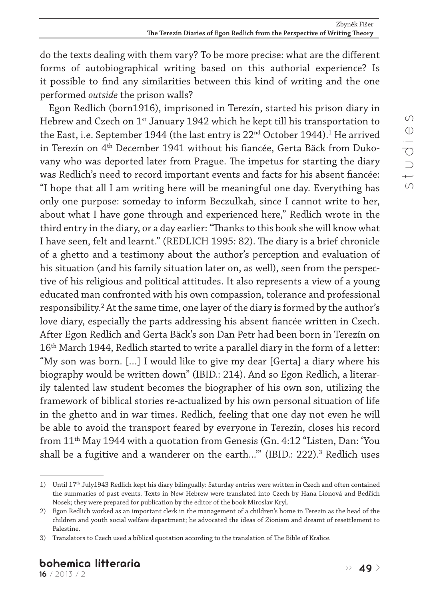do the texts dealing with them vary? To be more precise: what are the different forms of autobiographical writing based on this authorial experience? Is it possible to find any similarities between this kind of writing and the one performed *outside* the prison walls?

Egon Redlich (born1916), imprisoned in Terezín, started his prison diary in Hebrew and Czech on 1<sup>st</sup> January 1942 which he kept till his transportation to the East, i.e. September 1944 (the last entry is  $22^{\rm nd}$  October 1944). $^{\rm 1}$  He arrived in Terezín on 4<sup>th</sup> December 1941 without his fiancée, Gerta Bäck from Dukovany who was deported later from Prague. The impetus for starting the diary was Redlich's need to record important events and facts for his absent fiancée: "I hope that all I am writing here will be meaningful one day. Everything has only one purpose: someday to inform Beczulkah, since I cannot write to her, about what I have gone through and experienced here," Redlich wrote in the third entry in the diary, or a day earlier: "Thanks to this book she will know what I have seen, felt and learnt." (REDLICH 1995: 82). The diary is a brief chronicle of a ghetto and a testimony about the author's perception and evaluation of his situation (and his family situation later on, as well), seen from the perspective of his religious and political attitudes. It also represents a view of a young educated man confronted with his own compassion, tolerance and professional responsibility.<sup>2</sup> At the same time, one layer of the diary is formed by the author's love diary, especially the parts addressing his absent fiancée written in Czech. After Egon Redlich and Gerta Bäck's son Dan Petr had been born in Terezín on 16th March 1944, Redlich started to write a parallel diary in the form of a letter: "My son was born. […] I would like to give my dear [Gerta] a diary where his biography would be written down" (IBID.: 214). And so Egon Redlich, a literarily talented law student becomes the biographer of his own son, utilizing the framework of biblical stories re-actualized by his own personal situation of life in the ghetto and in war times. Redlich, feeling that one day not even he will be able to avoid the transport feared by everyone in Terezín, closes his record from 11th May 1944 with a quotation from Genesis (Gn. 4:12 "Listen, Dan: 'You shall be a fugitive and a wanderer on the earth...'" (IBID.: 222).<sup>3</sup> Redlich uses

<sup>1)</sup> Until 17<sup>th</sup> July1943 Redlich kept his diary bilingually: Saturday entries were written in Czech and often contained the summaries of past events. Texts in New Hebrew were translated into Czech by Hana Lionová and Bedřich Nosek; they were prepared for publication by the editor of the book Miroslav Kryl.

<sup>2)</sup> Egon Redlich worked as an important clerk in the management of a children's home in Terezín as the head of the children and youth social welfare department; he advocated the ideas of Zionism and dreamt of resettlement to Palestine.

<sup>3)</sup> Translators to Czech used a biblical quotation according to the translation of The Bible of Kralice.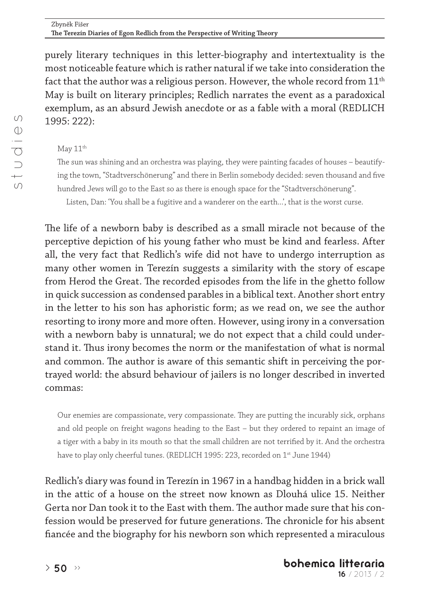purely literary techniques in this letter-biography and intertextuality is the most noticeable feature which is rather natural if we take into consideration the fact that the author was a religious person. However, the whole record from  $11<sup>th</sup>$ May is built on literary principles; Redlich narrates the event as a paradoxical exemplum, as an absurd Jewish anecdote or as a fable with a moral (REDLICH 1995: 222):

# $M$ ay  $11<sup>th</sup>$

The sun was shining and an orchestra was playing, they were painting facades of houses – beautifying the town, "Stadtverschönerung" and there in Berlin somebody decided: seven thousand and five hundred Jews will go to the East so as there is enough space for the "Stadtverschönerung". Listen, Dan: 'You shall be a fugitive and a wanderer on the earth...', that is the worst curse.

The life of a newborn baby is described as a small miracle not because of the perceptive depiction of his young father who must be kind and fearless. After all, the very fact that Redlich's wife did not have to undergo interruption as many other women in Terezín suggests a similarity with the story of escape from Herod the Great. The recorded episodes from the life in the ghetto follow in quick succession as condensed parables in a biblical text. Another short entry in the letter to his son has aphoristic form; as we read on, we see the author resorting to irony more and more often. However, using irony in a conversation with a newborn baby is unnatural; we do not expect that a child could understand it. Thus irony becomes the norm or the manifestation of what is normal and common. The author is aware of this semantic shift in perceiving the portrayed world: the absurd behaviour of jailers is no longer described in inverted commas:

Our enemies are compassionate, very compassionate. They are putting the incurably sick, orphans and old people on freight wagons heading to the East – but they ordered to repaint an image of a tiger with a baby in its mouth so that the small children are not terrified by it. And the orchestra have to play only cheerful tunes. (REDLICH 1995: 223, recorded on 1<sup>st</sup> June 1944)

Redlich's diary was found in Terezín in 1967 in a handbag hidden in a brick wall in the attic of a house on the street now known as Dlouhá ulice 15. Neither Gerta nor Dan took it to the East with them. The author made sure that his confession would be preserved for future generations. The chronicle for his absent fiancée and the biography for his newborn son which represented a miraculous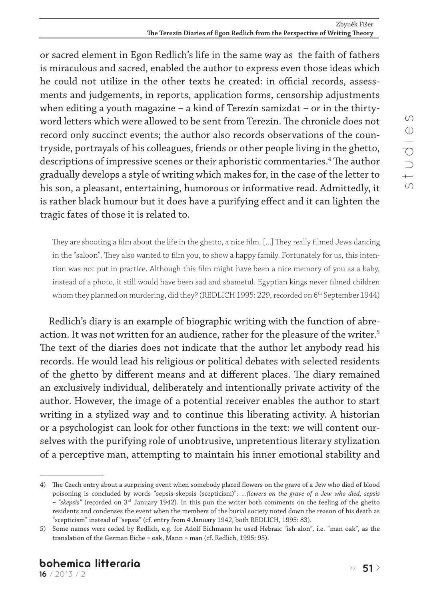or sacred element in Egon Redlich's life in the same way as the faith of fathers is miraculous and sacred, enabled the author to express even those ideas which he could not utilize in the other texts he created: in official records, assessments and judgements, in reports, application forms, censorship adjustments when editing a youth magazine – a kind of Terezín samizdat – or in the thirtyword letters which were allowed to be sent from Terezín. The chronicle does not record only succinct events; the author also records observations of the countryside, portrayals of his colleagues, friends or other people living in the ghetto, descriptions of impressive scenes or their aphoristic commentaries.4 The author gradually develops a style of writing which makes for, in the case of the letter to his son, a pleasant, entertaining, humorous or informative read. Admittedly, it is rather black humour but it does have a purifying effect and it can lighten the tragic fates of those it is related to.

They are shooting a film about the life in the ghetto, a nice film. [...] They really filmed Jews dancing in the "saloon". They also wanted to film you, to show a happy family. Fortunately for us, this intention was not put in practice. Although this film might have been a nice memory of you as a baby, instead of a photo, it still would have been sad and shameful. Egyptian kings never filmed children whom they planned on murdering, did they? (REDLICH 1995: 229, recorded on 6<sup>th</sup> September 1944)

Redlich's diary is an example of biographic writing with the function of abreaction. It was not written for an audience, rather for the pleasure of the writer.<sup>5</sup> The text of the diaries does not indicate that the author let anybody read his records. He would lead his religious or political debates with selected residents of the ghetto by different means and at different places. The diary remained an exclusively individual, deliberately and intentionally private activity of the author. However, the image of a potential receiver enables the author to start writing in a stylized way and to continue this liberating activity. A historian or a psychologist can look for other functions in the text: we will content ourselves with the purifying role of unobtrusive, unpretentious literary stylization of a perceptive man, attempting to maintain his inner emotional stability and

<sup>4)</sup> The Czech entry about a surprising event when somebody placed flowers on the grave of a Jew who died of blood poisoning is concluded by words "sepsis-skepsis (scepticism)": *…flowers on the grave of a Jew who died, sepsis – "skepsis"* (recorded on 3rd January 1942). In this pun the writer both comments on the feeling of the ghetto residents and condenses the event when the members of the burial society noted down the reason of his death as "scepticism" instead of "sepsis" (cf. entry from 4 January 1942, both REDLICH, 1995: 83).

<sup>5)</sup> Some names were coded by Redlich, e.g. for Adolf Eichmann he used Hebraic "ish alon", i.e. "man oak", as the translation of the German Eiche = oak, Mann = man (cf. Redlich, 1995: 95).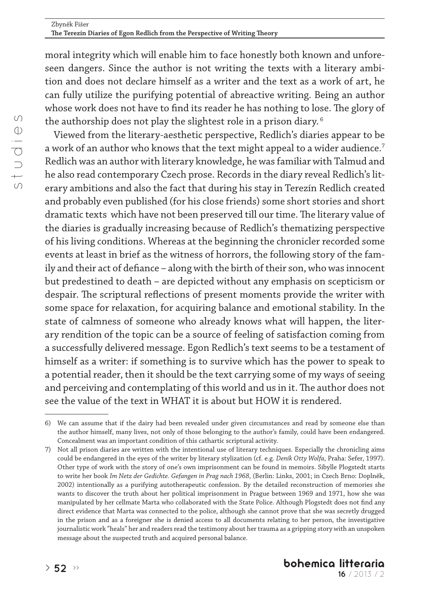moral integrity which will enable him to face honestly both known and unforeseen dangers. Since the author is not writing the texts with a literary ambition and does not declare himself as a writer and the text as a work of art, he can fully utilize the purifying potential of abreactive writing. Being an author whose work does not have to find its reader he has nothing to lose. The glory of the authorship does not play the slightest role in a prison diary.<sup>6</sup>

Viewed from the literary-aesthetic perspective, Redlich's diaries appear to be a work of an author who knows that the text might appeal to a wider audience.<sup>7</sup> Redlich was an author with literary knowledge, he was familiar with Talmud and he also read contemporary Czech prose. Records in the diary reveal Redlich's literary ambitions and also the fact that during his stay in Terezín Redlich created and probably even published (for his close friends) some short stories and short dramatic texts which have not been preserved till our time. The literary value of the diaries is gradually increasing because of Redlich's thematizing perspective of his living conditions. Whereas at the beginning the chronicler recorded some events at least in brief as the witness of horrors, the following story of the family and their act of defiance – along with the birth of their son, who was innocent but predestined to death – are depicted without any emphasis on scepticism or despair. The scriptural reflections of present moments provide the writer with some space for relaxation, for acquiring balance and emotional stability. In the state of calmness of someone who already knows what will happen, the literary rendition of the topic can be a source of feeling of satisfaction coming from a successfully delivered message. Egon Redlich's text seems to be a testament of himself as a writer: if something is to survive which has the power to speak to a potential reader, then it should be the text carrying some of my ways of seeing and perceiving and contemplating of this world and us in it. The author does not see the value of the text in WHAT it is about but HOW it is rendered.

<sup>6)</sup> We can assume that if the dairy had been revealed under given circumstances and read by someone else than the author himself, many lives, not only of those belonging to the author's family, could have been endangered. Concealment was an important condition of this cathartic scriptural activity.

<sup>7)</sup> Not all prison diaries are written with the intentional use of literary techniques. Especially the chronicling aims could be endangered in the eyes of the writer by literary stylization (cf. e.g. *Deník Otty Wolfa*, Praha: Sefer, 1997). Other type of work with the story of one's own imprisonment can be found in memoirs. Sibylle Plogstedt starts to write her book *Im Netz der Gedichte. Gefangen in Prag nach 1968*, (Berlin: Links, 2001; in Czech Brno: Doplněk, 2002) intentionally as a purifying autotherapeutic confession. By the detailed reconstruction of memories she wants to discover the truth about her political imprisonment in Prague between 1969 and 1971, how she was manipulated by her cellmate Marta who collaborated with the State Police. Although Plogstedt does not find any direct evidence that Marta was connected to the police, although she cannot prove that she was secretly drugged in the prison and as a foreigner she is denied access to all documents relating to her person, the investigative journalistic work "heals" her and readers read the testimony about her trauma as a gripping story with an unspoken message about the suspected truth and acquired personal balance.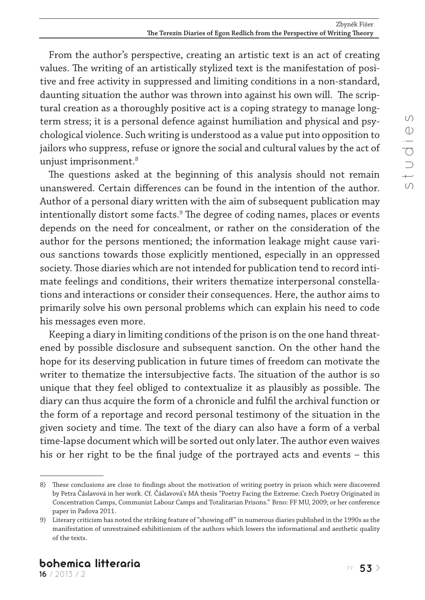From the author's perspective, creating an artistic text is an act of creating values. The writing of an artistically stylized text is the manifestation of positive and free activity in suppressed and limiting conditions in a non-standard, daunting situation the author was thrown into against his own will. The scriptural creation as a thoroughly positive act is a coping strategy to manage longterm stress; it is a personal defence against humiliation and physical and psychological violence. Such writing is understood as a value put into opposition to jailors who suppress, refuse or ignore the social and cultural values by the act of unjust imprisonment.8

The questions asked at the beginning of this analysis should not remain unanswered. Certain differences can be found in the intention of the author. Author of a personal diary written with the aim of subsequent publication may intentionally distort some facts.<sup>9</sup> The degree of coding names, places or events depends on the need for concealment, or rather on the consideration of the author for the persons mentioned; the information leakage might cause various sanctions towards those explicitly mentioned, especially in an oppressed society. Those diaries which are not intended for publication tend to record intimate feelings and conditions, their writers thematize interpersonal constellations and interactions or consider their consequences. Here, the author aims to primarily solve his own personal problems which can explain his need to code his messages even more.

Keeping a diary in limiting conditions of the prison is on the one hand threatened by possible disclosure and subsequent sanction. On the other hand the hope for its deserving publication in future times of freedom can motivate the writer to thematize the intersubjective facts. The situation of the author is so unique that they feel obliged to contextualize it as plausibly as possible. The diary can thus acquire the form of a chronicle and fulfil the archival function or the form of a reportage and record personal testimony of the situation in the given society and time. The text of the diary can also have a form of a verbal time-lapse document which will be sorted out only later. The author even waives his or her right to be the final judge of the portrayed acts and events – this

<sup>8)</sup> These conclusions are close to findings about the motivation of writing poetry in prison which were discovered by Petra Čáslavová in her work. Cf. Čáslavová's MA thesis "Poetry Facing the Extreme: Czech Poetry Originated in Concentration Camps, Communist Labour Camps and Totalitarian Prisons." Brno: FF MU, 2009; or her conference paper in Padova 2011.

<sup>9)</sup> Literary criticism has noted the striking feature of "showing off" in numerous diaries published in the 1990s as the manifestation of unrestrained exhibitionism of the authors which lowers the informational and aesthetic quality of the texts.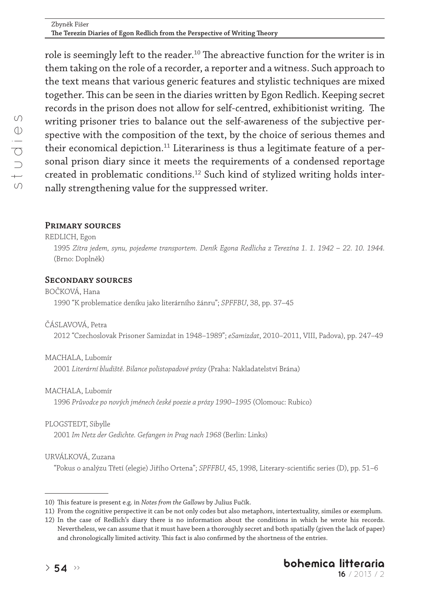role is seemingly left to the reader.<sup>10</sup> The abreactive function for the writer is in them taking on the role of a recorder, a reporter and a witness. Such approach to the text means that various generic features and stylistic techniques are mixed together. This can be seen in the diaries written by Egon Redlich. Keeping secret records in the prison does not allow for self-centred, exhibitionist writing. The writing prisoner tries to balance out the self-awareness of the subjective perspective with the composition of the text, by the choice of serious themes and their economical depiction.<sup>11</sup> Literariness is thus a legitimate feature of a personal prison diary since it meets the requirements of a condensed reportage created in problematic conditions.12 Such kind of stylized writing holds internally strengthening value for the suppressed writer.

# **Primary sources**

#### REDLICH, Egon

1995 *Zítra jedem, synu, pojedeme transportem. Deník Egona Redlicha z Terezína 1. 1. 1942 – 22. 10. 1944.*  (Brno: Doplněk)

# **Secondary sources**

#### BOČKOVÁ, Hana

1990 "K problematice deníku jako literárního žánru"; *SPFFBU*, 38, pp. 37–45

#### ČÁSLAVOVÁ, Petra

2012 "Czechoslovak Prisoner Samizdat in 1948–1989"; *eSamizdat*, 2010–2011, VIII, Padova), pp. 247–49

#### MACHALA, Lubomír

2001 *Literární bludiště. Bilance polistopadové prózy* (Praha: Nakladatelství Brána)

#### MACHALA, Lubomír

1996 *Průvodce po nových jménech české poezie a prózy 1990–1995* (Olomouc: Rubico)

#### PLOGSTEDT, Sibylle

2001 *Im Netz der Gedichte. Gefangen in Prag nach 1968* (Berlin: Links)

# URVÁLKOVÁ, Zuzana

"Pokus o analýzu Třetí (elegie) Jiřího Ortena"; *SPFFBU*, 45, 1998, Literary-scientific series (D), pp. 51–6

<sup>10)</sup> This feature is present e.g. in *Notes from the Gallows* by Julius Fučík.

<sup>11)</sup> From the cognitive perspective it can be not only codes but also metaphors, intertextuality, similes or exemplum.

<sup>12)</sup> In the case of Redlich's diary there is no information about the conditions in which he wrote his records. Nevertheless, we can assume that it must have been a thoroughly secret and both spatially (given the lack of paper) and chronologically limited activity. This fact is also confirmed by the shortness of the entries.